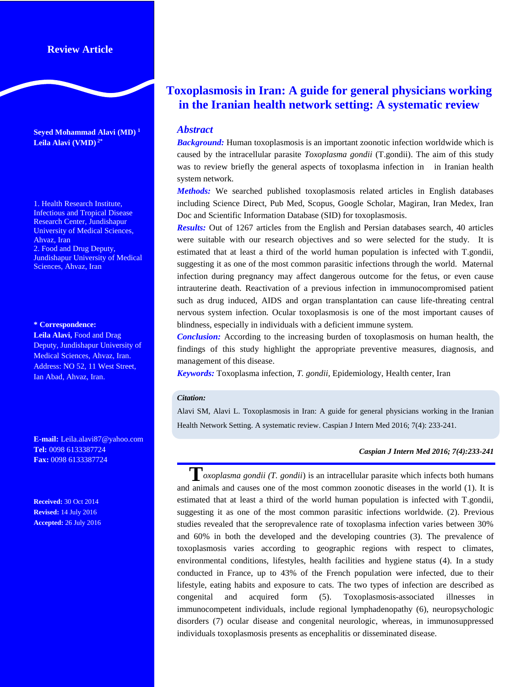## **Review Article**

**Seyed Mohammad Alavi (MD) 1 Leila Alavi (VMD) 2\***

1. Health Research Institute, Infectious and Tropical Disease Research Center, Jundishapur University of Medical Sciences, Ahvaz, Iran 2. Food and Drug Deputy, Jundishapur University of Medical Sciences, Ahvaz, Iran

#### **\* Correspondence:**

**Leila Alavi,** Food and Drag Deputy, Jundishapur University of Medical Sciences, Ahvaz, Iran. Address: NO 52, 11 West Street, Ian Abad, Ahvaz, Iran.

**E-mail:** Leila.alavi87@yahoo.com **Tel:** 0098 6133387724 **Fax:** 0098 6133387724

**Received:** 30 Oct 2014 **Revised:** 14 July 2016 **Accepted:** 26 July 2016

# **Toxoplasmosis in Iran: A guide for general physicians working in the Iranian health network setting: A systematic review**

### *Abstract*

*Background:* Human toxoplasmosis is an important zoonotic infection worldwide which is caused by the intracellular parasite *Toxoplasma gondii* (T.gondii). The aim of this study was to review briefly the general aspects of toxoplasma infection in in Iranian health system network.

*Methods:* We searched published toxoplasmosis related articles in English databases including Science Direct, Pub Med, Scopus, Google Scholar, Magiran, Iran Medex, Iran Doc and Scientific Information Database (SID) for toxoplasmosis.

*Results:* Out of 1267 articles from the English and Persian databases search, 40 articles were suitable with our research objectives and so were selected for the study. It is estimated that at least a third of the world human population is infected with T.gondii, suggesting it as one of the most common parasitic infections through the world. Maternal infection during pregnancy may affect dangerous outcome for the fetus, or even cause intrauterine death. Reactivation of a previous infection in immunocompromised patient such as drug induced, AIDS and organ transplantation can cause life-threating central nervous system infection. Ocular toxoplasmosis is one of the most important causes of blindness, especially in individuals with a deficient immune system.

*Conclusion:* According to the increasing burden of toxoplasmosis on human health, the findings of this study highlight the appropriate preventive measures, diagnosis, and management of this disease.

*Keywords:* Toxoplasma infection, *T. gondii,* Epidemiology, Health center, Iran

#### *Citation:*

Alavi SM, Alavi L. Toxoplasmosis in Iran: A guide for general physicians working in the Iranian Health Network Setting. A systematic review. Caspian J Intern Med 2016; 7(4): 233-241.

#### *Caspian J Intern Med 2016; 7(4):233-241*

**T***oxoplasma gondii (T. gondii*) is an intracellular parasite which infects both humans and animals and causes one of the most common zoonotic diseases in the world [\(1\)](http://www.ncbi.nlm.nih.gov/pmc/articles/PMC3770869/#B2). It is estimated that at least a third of the world human population is infected with T.gondii, suggesting it as one of the most common parasitic infections worldwide. [\(2\)](http://www.ncbi.nlm.nih.gov/pmc/articles/PMC3770869/#B2). Previous studies revealed that the seroprevalence rate of toxoplasma infection varies between 30% and 60% in both the developed and the developing countries (3). The prevalence of toxoplasmosis varies according to geographic regions with respect to climates, environmental conditions, lifestyles, health facilities and hygiene status (4). In a study conducted in France, up to 43% of the French population were infected, due to their lifestyle, eating habits and exposure to cats. The two types of infection are described as congenital and acquired form (5). Toxoplasmosis-associated illnesses in immunocompetent individuals, include regional lymphadenopathy (6), neuropsychologic disorders (7) ocular disease and congenital neurologic, whereas, in immunosuppressed individuals toxoplasmosis presents as encephalitis or disseminated disease.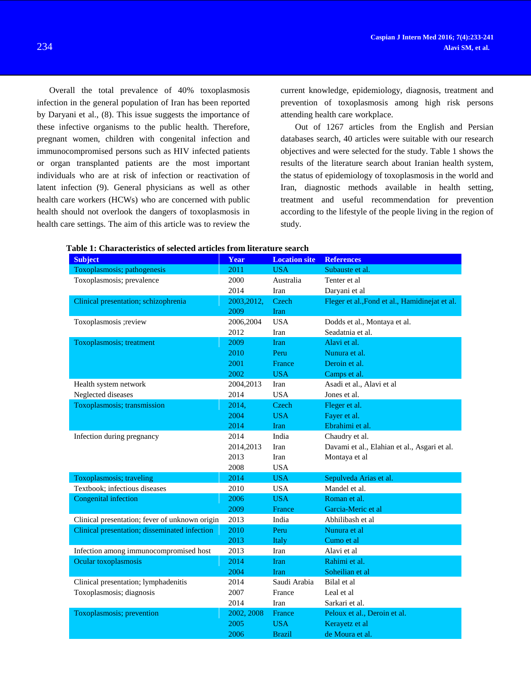Overall the total prevalence of 40% toxoplasmosis infection in the general population of Iran has been reported by Daryani et al., (8). This issue suggests the importance of these infective organisms to the public health. Therefore, pregnant women, children with congenital infection and immunocompromised persons such as HIV infected patients or organ transplanted patients are the most important individuals who are at risk of infection or reactivation of latent infection (9). General physicians as well as other health care workers (HCWs) who are concerned with public health should not overlook the dangers of toxoplasmosis in health care settings. The aim of this article was to review the current knowledge, epidemiology, diagnosis, treatment and prevention of toxoplasmosis among high risk persons attending health care workplace.

Out of 1267 articles from the English and Persian databases search, 40 articles were suitable with our research objectives and were selected for the study. Table 1 shows the results of the literature search about Iranian health system, the status of epidemiology of toxoplasmosis in the world and Iran, diagnostic methods available in health setting, treatment and useful recommendation for prevention according to the lifestyle of the people living in the region of study.

| <b>Subject</b>                                 | Year        | <b>Location site</b> | <b>References</b>                              |  |
|------------------------------------------------|-------------|----------------------|------------------------------------------------|--|
| Toxoplasmosis; pathogenesis                    | 2011        | <b>USA</b>           | Subauste et al.                                |  |
| Toxoplasmosis; prevalence                      | 2000        | Australia            | Tenter et al                                   |  |
|                                                | 2014        | Iran                 | Daryani et al                                  |  |
| Clinical presentation; schizophrenia           | 2003, 2012, | Czech                | Fleger et al., Fond et al., Hamidinejat et al. |  |
|                                                | 2009        | <b>Iran</b>          |                                                |  |
| Toxoplasmosis ; review                         | 2006,2004   | <b>USA</b>           | Dodds et al., Montaya et al.                   |  |
|                                                | 2012        | Iran                 | Seadatnia et al.                               |  |
| Toxoplasmosis; treatment                       | 2009        | <b>Iran</b>          | Alavi et al.                                   |  |
|                                                | 2010        | Peru                 | Nunura et al.                                  |  |
|                                                | 2001        | France               | Deroin et al.                                  |  |
|                                                | 2002        | <b>USA</b>           | Camps et al.                                   |  |
| Health system network                          | 2004,2013   | Iran                 | Asadi et al., Alavi et al                      |  |
| Neglected diseases                             | 2014        | <b>USA</b>           | Jones et al.                                   |  |
| Toxoplasmosis; transmission                    | 2014,       | Czech                | Fleger et al.                                  |  |
|                                                | 2004        | <b>USA</b>           | Fayer et al.                                   |  |
|                                                | 2014        | Iran                 | Ebrahimi et al.                                |  |
| Infection during pregnancy                     | 2014        | India                | Chaudry et al.                                 |  |
|                                                | 2014,2013   | Iran                 | Davami et al., Elahian et al., Asgari et al.   |  |
|                                                | 2013        | Iran                 | Montaya et al                                  |  |
|                                                | 2008        | <b>USA</b>           |                                                |  |
| Toxoplasmosis; traveling                       | 2014        | <b>USA</b>           | Sepulveda Arias et al.                         |  |
| Textbook; infectious diseases                  | 2010        | <b>USA</b>           | Mandel et al.                                  |  |
| Congenital infection                           | 2006        | <b>USA</b>           | Roman et al.                                   |  |
|                                                | 2009        | France               | Garcia-Meric et al                             |  |
| Clinical presentation; fever of unknown origin | 2013        | India                | Abhilibash et al                               |  |
| Clinical presentation; disseminated infection  | 2010        | Peru                 | Nunura et al                                   |  |
|                                                | 2013        | Italy                | Cumo et al                                     |  |
| Infection among immunocompromised host         | 2013        | Iran                 | Alavi et al                                    |  |
| Ocular toxoplasmosis                           | 2014        | Iran                 | Rahimi et al.                                  |  |
|                                                | 2004        | Iran                 | Soheilian et al                                |  |
| Clinical presentation; lymphadenitis           | 2014        | Saudi Arabia         | Bilal et al                                    |  |
| Toxoplasmosis; diagnosis                       | 2007        | France               | Leal et al                                     |  |
|                                                | 2014        | Iran                 | Sarkari et al.                                 |  |
| Toxoplasmosis; prevention                      | 2002, 2008  | France               | Peloux et al., Deroin et al.                   |  |
|                                                | 2005        | <b>USA</b>           | Kerayetz et al                                 |  |
|                                                | 2006        | <b>Brazil</b>        | de Moura et al.                                |  |

| Table 1: Characteristics of selected articles from literature search |  |  |  |
|----------------------------------------------------------------------|--|--|--|
|----------------------------------------------------------------------|--|--|--|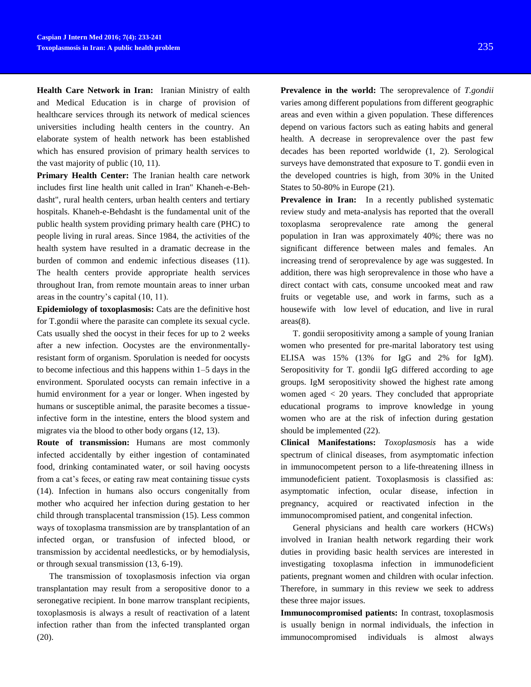**Health Care Network in Iran:** Iranian Ministry of ealth and Medical Education is in charge of provision of healthcare services through its network of medical sciences universities including health centers in the country. An elaborate system of health network has been established which has ensured provision of primary health services to the vast majority of public (10, 11).

**Primary Health Center:** The Iranian health care network includes first line health unit called in Iran" Khaneh-e-Behdasht", rural health centers, urban health centers and tertiary hospitals. Khaneh-e-Behdasht is the fundamental unit of the public health system providing primary health care (PHC) to people living in rural areas. Since 1984, the activities of the health system have resulted in a dramatic decrease in the burden of common and endemic infectious diseases (11). The health centers provide appropriate health services throughout Iran, from remote mountain areas to inner urban areas in the country's capital (10, 11).

**Epidemiology of toxoplasmosis:** Cats are the definitive host for T.gondii where the parasite can complete its sexual cycle. Cats usually shed the oocyst in their feces for up to 2 weeks after a new infection. Oocystes are the environmentallyresistant form of organism. Sporulation is needed for oocysts to become infectious and this happens within 1–5 days in the environment. Sporulated oocysts can remain infective in a humid environment for a year or longer. When ingested by humans or susceptible animal, the parasite becomes a tissueinfective form in the intestine, enters the blood system and migrates via the blood to other body organs (12, 13).

**Route of transmission:** Humans are most commonly infected accidentally by either ingestion of contaminated food, drinking contaminated water, or soil having oocysts from a cat's feces, or eating raw meat containing tissue cysts (14). Infection in humans also occurs congenitally from mother who acquired her infection during gestation to her child through transplacental transmission (15). Less common ways of toxoplasma transmission are by transplantation of an infected organ, or transfusion of infected blood, or transmission by accidental needlesticks, or by hemodialysis, or through sexual transmission (13, 6-19).

The transmission of toxoplasmosis infection via organ transplantation may result from a seropositive donor to a seronegative recipient. In bone marrow transplant recipients, toxoplasmosis is always a result of reactivation of a latent infection rather than from the infected transplanted organ (20).

**Prevalence in the world:** The seroprevalence of *T.gondii*  varies among different populations from different geographic areas and even within a given population. These differences depend on various factors such as eating habits and general health. A decrease in seroprevalence over the past few decades has been reported worldwide (1, 2). Serological surveys have demonstrated that exposure to T. gondii even in the developed countries is high, from 30% in the United States to 50-80% in Europe (21).

**Prevalence in Iran:** In a recently published systematic review study and meta-analysis has reported that the overall toxoplasma seroprevalence rate among the general population in Iran was approximately 40%; there was no significant difference between males and females. An increasing trend of seroprevalence by age was suggested. In addition, there was high seroprevalence in those who have a direct contact with cats, consume uncooked meat and raw fruits or vegetable use, and work in farms, such as a housewife with low level of education, and live in rural areas(8).

T. gondii seropositivity among a sample of young Iranian women who presented for pre-marital laboratory test using ELISA was 15% (13% for IgG and 2% for IgM). Seropositivity for T. gondii IgG differed according to age groups. IgM seropositivity showed the highest rate among women aged  $\langle 20 \rangle$  years. They concluded that appropriate educational programs to improve knowledge in young women who are at the risk of infection during gestation should be implemented (22).

**Clinical Manifestations:** *Toxoplasmosis* has a wide spectrum of clinical diseases, from asymptomatic infection in immunocompetent person to a life-threatening illness in immunodeficient patient. Toxoplasmosis is classified as: asymptomatic infection, ocular disease, infection in pregnancy, acquired or reactivated infection in the immunocompromised patient, and congenital infection.

General physicians and health care workers (HCWs) involved in Iranian health network regarding their work duties in providing basic health services are interested in investigating toxoplasma infection in immunodeficient patients, pregnant women and children with ocular infection. Therefore, in summary in this review we seek to address these three major issues.

**Immunocompromised patients:** In contrast, toxoplasmosis is usually benign in normal individuals, the infection in immunocompromised individuals is almost always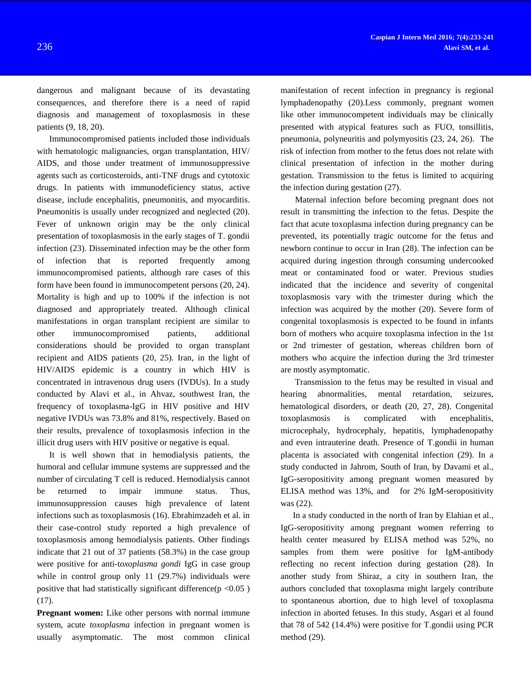dangerous and malignant because of its devastating consequences, and therefore there is a need of rapid diagnosis and management of toxoplasmosis in these patients (9, 18, 20).

Immunocompromised patients included those individuals with hematologic malignancies, organ transplantation, HIV/ AIDS, and those under treatment of immunosuppressive agents such as corticosteroids, anti-TNF drugs and cytotoxic drugs. In patients with immunodeficiency status, active disease, include encephalitis, pneumonitis, and myocarditis. Pneumonitis is usually under recognized and neglected (20). Fever of unknown origin may be the only clinical presentation of toxoplasmosis in the early stages of T. gondii infection (23). Disseminated infection may be the other form of infection that is reported frequently among immunocompromised patients, although rare cases of this form have been found in immunocompetent persons (20, 24). Mortality is high and up to 100% if the infection is not diagnosed and appropriately treated. Although clinical manifestations in organ transplant recipient are similar to other immunocompromised patients, additional considerations should be provided to organ transplant recipient and AIDS patients (20, 25). Iran, in the light of HIV/AIDS epidemic is a country in which HIV is concentrated in intravenous drug users (IVDUs). In a study conducted by Alavi et al., in Ahvaz, southwest Iran, the frequency of toxoplasma-IgG in HIV positive and HIV negative IVDUs was 73.8% and 81%, respectively. Based on their results, prevalence of toxoplasmosis infection in the illicit drug users with HIV positive or negative is equal.

It is well shown that in hemodialysis patients, the humoral and cellular immune systems are suppressed and the number of circulating T cell is reduced. Hemodialysis cannot be returned to impair immune status. Thus, immunosuppression causes high prevalence of latent infections such as toxoplasmosis (16). Ebrahimzadeh et al. in their case-control study reported a high prevalence of toxoplasmosis among hemodialysis patients. Other findings indicate that 21 out of 37 patients (58.3%) in the case group were positive for anti-t*oxoplasma gondi* IgG in case group while in control group only 11 (29.7%) individuals were positive that had statistically significant difference( $p \le 0.05$ ) (17).

**Pregnant women:** Like other persons with normal immune system, acute *toxoplasma* infection in pregnant women is usually asymptomatic. The most common clinical

manifestation of recent infection in pregnancy is regional lymphadenopathy (20).Less commonly, pregnant women like other immunocompetent individuals may be clinically presented with atypical features such as FUO, tonsillitis, pneumonia, polyneuritis and polymyositis (23, 24, 26). The risk of infection from mother to the fetus does not relate with clinical presentation of infection in the mother during gestation. Transmission to the fetus is limited to acquiring the infection during gestation (27).

Maternal infection before becoming pregnant does not result in transmitting the infection to the fetus. Despite the fact that acute toxoplasma infection during pregnancy can be prevented, its potentially tragic outcome for the fetus and newborn continue to occur in Iran (28). The infection can be acquired during ingestion through consuming undercooked meat or contaminated food or water. Previous studies indicated that the incidence and severity of congenital toxoplasmosis vary with the trimester during which the infection was acquired by the mother (20). Severe form of congenital toxoplasmosis is expected to be found in infants born of mothers who acquire toxoplasma infection in the 1st or 2nd trimester of gestation, whereas children born of mothers who acquire the infection during the 3rd trimester are mostly asymptomatic.

Transmission to the fetus may be resulted in visual and hearing abnormalities, mental retardation, seizures, hematological disorders, or death (20, 27, 28). Congenital toxoplasmosis is complicated with encephalitis, microcephaly, hydrocephaly, hepatitis, lymphadenopathy and even intrauterine death. Presence of T.gondii in human placenta is associated with congenital infection (29). In a study conducted in Jahrom, South of Iran, by Davami et al., IgG-seropositivity among pregnant women measured by ELISA method was 13%, and for 2% IgM-seropositivity was (22).

In a study conducted in the north of Iran by Elahian et al., IgG-seropositivity among pregnant women referring to health center measured by ELISA method was 52%, no samples from them were positive for IgM-antibody reflecting no recent infection during gestation (28). In another study from Shiraz, a city in southern Iran, the authors concluded that toxoplasma might largely contribute to spontaneous abortion, due to high level of toxoplasma infection in aborted fetuses. In this study, Asgari et al found that 78 of 542 (14.4%) were positive for T.gondii using PCR method (29).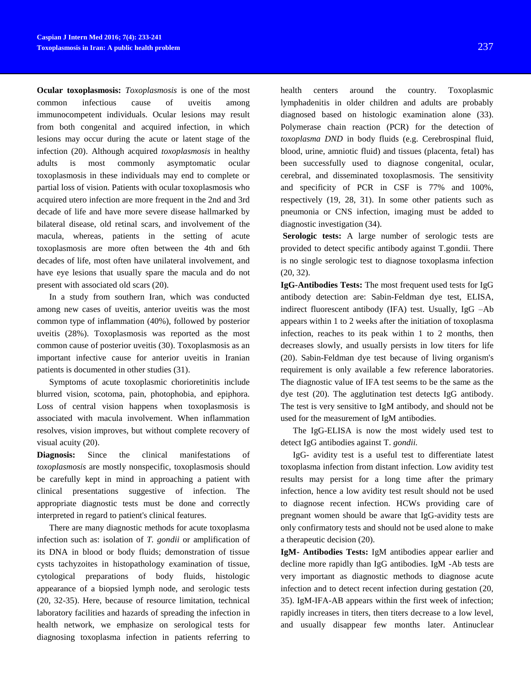**Ocular toxoplasmosis:** *Toxoplasmosis* is one of the most common infectious cause of uveitis among immunocompetent individuals. Ocular lesions may result from both congenital and acquired infection, in which lesions may occur during the acute or latent stage of the infection (20). Although acquired *toxoplasmosis* in healthy adults is most commonly asymptomatic ocular toxoplasmosis in these individuals may end to complete or partial loss of vision. Patients with ocular toxoplasmosis who acquired utero infection are more frequent in the 2nd and 3rd decade of life and have more severe disease hallmarked by bilateral disease, old retinal scars, and involvement of the macula, whereas, patients in the setting of acute toxoplasmosis are more often between the 4th and 6th decades of life, most often have unilateral involvement, and have eye lesions that usually spare the macula and do not present with associated old scars (20).

In a study from southern Iran, which was conducted among new cases of uveitis, anterior uveitis was the most common type of inflammation (40%), followed by posterior uveitis (28%). Toxoplasmosis was reported as the most common cause of posterior uveitis (30). Toxoplasmosis as an important infective cause for anterior uveitis in Iranian patients is documented in other studies (31).

Symptoms of acute toxoplasmic chorioretinitis include blurred vision, scotoma, pain, photophobia, and epiphora. Loss of central vision happens when toxoplasmosis is associated with macula involvement. When inflammation resolves, vision improves, but without complete recovery of visual acuity (20).

**Diagnosis:** Since the clinical manifestations of *toxoplasmosis* are mostly nonspecific, toxoplasmosis should be carefully kept in mind in approaching a patient with clinical presentations suggestive of infection. The appropriate diagnostic tests must be done and correctly interpreted in regard to patient's clinical features.

There are many diagnostic methods for acute toxoplasma infection such as: isolation of *T. gondii* or amplification of its DNA in blood or body fluids; demonstration of tissue cysts tachyzoites in histopathology examination of tissue, cytological preparations of body fluids, histologic appearance of a biopsied lymph node, and serologic tests (20, 32-35). Here, because of resource limitation, technical laboratory facilities and hazards of spreading the infection in health network, we emphasize on serological tests for diagnosing toxoplasma infection in patients referring to

health centers around the country. Toxoplasmic lymphadenitis in older children and adults are probably diagnosed based on histologic examination alone (33). Polymerase chain reaction (PCR) for the detection of *toxoplasma DND* in body fluids (e.g. Cerebrospinal fluid, blood, urine, amniotic fluid) and tissues (placenta, fetal) has been successfully used to diagnose congenital, ocular, cerebral, and disseminated toxoplasmosis. The sensitivity and specificity of PCR in CSF is 77% and 100%, respectively (19, 28, 31). In some other patients such as pneumonia or CNS infection, imaging must be added to diagnostic investigation (34).

**Serologic tests:** A large number of serologic tests are provided to detect specific antibody against T.gondii. There is no single serologic test to diagnose toxoplasma infection (20, 32).

**IgG-Antibodies Tests:** The most frequent used tests for IgG antibody detection are: Sabin-Feldman dye test, ELISA, indirect fluorescent antibody (IFA) test. Usually, IgG –Ab appears within 1 to 2 weeks after the initiation of toxoplasma infection, reaches to its peak within 1 to 2 months, then decreases slowly, and usually persists in low titers for life (20). Sabin-Feldman dye test because of living organism's requirement is only available a few reference laboratories. The diagnostic value of IFA test seems to be the same as the dye test (20). The agglutination test detects IgG antibody. The test is very sensitive to IgM antibody, and should not be used for the measurement of IgM antibodies.

The IgG-ELISA is now the most widely used test to detect IgG antibodies against T*. gondii.*

IgG- avidity test is a useful test to differentiate latest toxoplasma infection from distant infection. Low avidity test results may persist for a long time after the primary infection, hence a low avidity test result should not be used to diagnose recent infection. HCWs providing care of pregnant women should be aware that IgG-avidity tests are only confirmatory tests and should not be used alone to make a therapeutic decision (20).

**IgM- Antibodies Tests:** IgM antibodies appear earlier and decline more rapidly than IgG antibodies. IgM -Ab tests are very important as diagnostic methods to diagnose acute infection and to detect recent infection during gestation (20, 35). IgM-IFA-AB appears within the first week of infection; rapidly increases in titers, then titers decrease to a low level, and usually disappear few months later. Antinuclear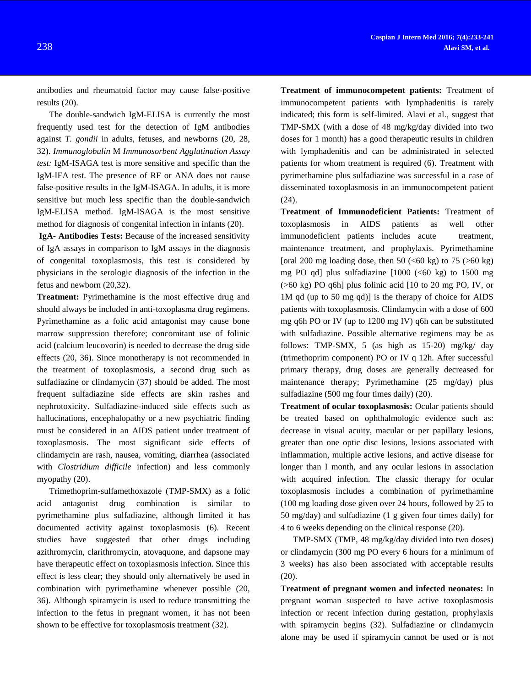antibodies and rheumatoid factor may cause false-positive results (20).

The double-sandwich IgM-ELISA is currently the most frequently used test for the detection of IgM antibodies against *T. gondii* in adults, fetuses, and newborns (20, 28, 32). *Immunoglobulin* M *Immunosorbent Agglutination Assay test:* IgM-ISAGA test is more sensitive and specific than the IgM-IFA test. The presence of RF or ANA does not cause false-positive results in the IgM-ISAGA. In adults, it is more sensitive but much less specific than the double-sandwich IgM-ELISA method. IgM-ISAGA is the most sensitive method for diagnosis of congenital infection in infants (20).

**IgA- Antibodies Tests:** Because of the increased sensitivity of IgA assays in comparison to IgM assays in the diagnosis of congenital toxoplasmosis, this test is considered by physicians in the serologic diagnosis of the infection in the fetus and newborn (20,32).

**Treatment:** Pyrimethamine is the most effective drug and should always be included in anti-toxoplasma drug regimens. Pyrimethamine as a folic acid antagonist may cause bone marrow suppression therefore; concomitant use of folinic acid (calcium leucovorin) is needed to decrease the drug side effects (20, 36). Since monotherapy is not recommended in the treatment of toxoplasmosis, a second drug such as sulfadiazine or clindamycin (37) should be added. The most frequent sulfadiazine side effects are skin rashes and nephrotoxicity. Sulfadiazine-induced side effects such as hallucinations, encephalopathy or a new psychiatric finding must be considered in an AIDS patient under treatment of toxoplasmosis. The most significant side effects of clindamycin are rash, nausea, vomiting, diarrhea (associated with *Clostridium difficile* infection) and less commonly myopathy (20).

Trimethoprim-sulfamethoxazole (TMP-SMX) as a folic acid antagonist drug combination is similar pyrimethamine plus sulfadiazine, although limited it has documented activity against toxoplasmosis (6). Recent studies have suggested that other drugs including azithromycin, clarithromycin, atovaquone, and dapsone may have therapeutic effect on toxoplasmosis infection. Since this effect is less clear; they should only alternatively be used in combination with pyrimethamine whenever possible (20, 36). Although spiramycin is used to reduce transmitting the infection to the fetus in pregnant women, it has not been shown to be effective for toxoplasmosis treatment (32).

**Treatment of immunocompetent patients:** Treatment of immunocompetent patients with lymphadenitis is rarely indicated; this form is self-limited. Alavi et al., suggest that TMP-SMX (with a dose of 48 mg/kg/day divided into two doses for 1 month) has a good therapeutic results in children with lymphadenitis and can be administrated in selected patients for whom treatment is required (6). Treatment with pyrimethamine plus sulfadiazine was successful in a case of disseminated toxoplasmosis in an immunocompetent patient (24).

**Treatment of Immunodeficient Patients:** Treatment of toxoplasmosis in AIDS patients as well other immunodeficient patients includes acute treatment, maintenance treatment, and prophylaxis. Pyrimethamine [oral 200 mg loading dose, then 50  $( $60 \text{ kg}$ )$  to 75  $( $60 \text{ kg}$ )$ mg PO qd] plus sulfadiazine  $[1000 \; (<60 \; \text{kg})$  to 1500 mg (>60 kg) PO q6h] plus folinic acid [10 to 20 mg PO, IV, or 1M qd (up to 50 mg qd)] is the therapy of choice for AIDS patients with toxoplasmosis. Clindamycin with a dose of 600 mg q6h PO or IV (up to 1200 mg IV) q6h can be substituted with sulfadiazine. Possible alternative regimens may be as follows: TMP-SMX, 5 (as high as  $15-20$ ) mg/kg/ day (trimethoprim component) PO or IV q 12h. After successful primary therapy, drug doses are generally decreased for maintenance therapy; Pyrimethamine (25 mg/day) plus sulfadiazine (500 mg four times daily) (20).

**Treatment of ocular toxoplasmosis:** Ocular patients should be treated based on ophthalmologic evidence such as: decrease in visual acuity, macular or per papillary lesions, greater than one optic disc lesions, lesions associated with inflammation, multiple active lesions, and active disease for longer than I month, and any ocular lesions in association with acquired infection. The classic therapy for ocular toxoplasmosis includes a combination of pyrimethamine (100 mg loading dose given over 24 hours, followed by 25 to 50 mg/day) and sulfadiazine (1 g given four times daily) for 4 to 6 weeks depending on the clinical response (20).

TMP-SMX (TMP, 48 mg/kg/day divided into two doses) or clindamycin (300 mg PO every 6 hours for a minimum of 3 weeks) has also been associated with acceptable results (20).

**Treatment of pregnant women and infected neonates:** In pregnant woman suspected to have active toxoplasmosis infection or recent infection during gestation, prophylaxis with spiramycin begins (32). Sulfadiazine or clindamycin alone may be used if spiramycin cannot be used or is not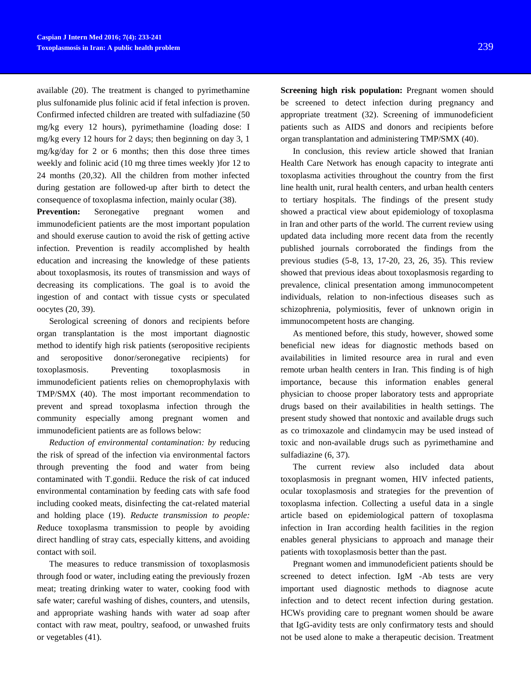available (20). The treatment is changed to pyrimethamine plus sulfonamide plus folinic acid if fetal infection is proven. Confirmed infected children are treated with sulfadiazine (50 mg/kg every 12 hours), pyrimethamine (loading dose: I mg/kg every 12 hours for 2 days; then beginning on day 3, 1 mg/kg/day for 2 or 6 months; then this dose three times weekly and folinic acid (10 mg three times weekly )for 12 to 24 months (20,32). All the children from mother infected during gestation are followed-up after birth to detect the consequence of toxoplasma infection, mainly ocular (38).

**Prevention:** Seronegative pregnant women and immunodeficient patients are the most important population and should exeruse caution to avoid the risk of getting active infection. Prevention is readily accomplished by health education and increasing the knowledge of these patients about toxoplasmosis, its routes of transmission and ways of decreasing its complications. The goal is to avoid the ingestion of and contact with tissue cysts or speculated oocytes (20, 39).

Serological screening of donors and recipients before organ transplantation is the most important diagnostic method to identify high risk patients (seropositive recipients and seropositive donor/seronegative recipients) for toxoplasmosis. Preventing toxoplasmosis in immunodeficient patients relies on chemoprophylaxis with TMP/SMX (40). The most important recommendation to prevent and spread toxoplasma infection through the community especially among pregnant women and immunodeficient patients are as follows below:

*Reduction of environmental contamination: by* reducing the risk of spread of the infection via environmental factors through preventing the food and water from being contaminated with T.gondii. Reduce the risk of cat induced environmental contamination by feeding cats with safe food including cooked meats, disinfecting the cat-related material and holding place (19). *Reducte transmission to people: R*educe toxoplasma transmission to people by avoiding direct handling of stray cats, especially kittens, and avoiding contact with soil.

The measures to reduce transmission of toxoplasmosis through food or water, including eating the previously frozen meat; treating drinking water to water, cooking food with safe water; careful washing of dishes, counters, and utensils, and appropriate washing hands with water ad soap after contact with raw meat, poultry, seafood, or unwashed fruits or vegetables (41).

**Screening high risk population:** Pregnant women should be screened to detect infection during pregnancy and appropriate treatment (32). Screening of immunodeficient patients such as AIDS and donors and recipients before organ transplantation and administering TMP/SMX (40).

In conclusion, this review article showed that Iranian Health Care Network has enough capacity to integrate anti toxoplasma activities throughout the country from the first line health unit, rural health centers, and urban health centers to tertiary hospitals. The findings of the present study showed a practical view about epidemiology of toxoplasma in Iran and other parts of the world. The current review using updated data including more recent data from the recently published journals corroborated the findings from the previous studies (5-8, 13, 17-20, 23, 26, 35). This review showed that previous ideas about toxoplasmosis regarding to prevalence, clinical presentation among immunocompetent individuals, relation to non-infectious diseases such as schizophrenia, polymiositis, fever of unknown origin in immunocompetent hosts are changing.

As mentioned before, this study, however, showed some beneficial new ideas for diagnostic methods based on availabilities in limited resource area in rural and even remote urban health centers in Iran. This finding is of high importance, because this information enables general physician to choose proper laboratory tests and appropriate drugs based on their availabilities in health settings. The present study showed that nontoxic and available drugs such as co trimoxazole and clindamycin may be used instead of toxic and non-available drugs such as pyrimethamine and sulfadiazine (6, 37).

The current review also included data about toxoplasmosis in pregnant women, HIV infected patients, ocular toxoplasmosis and strategies for the prevention of toxoplasma infection. Collecting a useful data in a single article based on epidemiological pattern of toxoplasma infection in Iran according health facilities in the region enables general physicians to approach and manage their patients with toxoplasmosis better than the past.

Pregnant women and immunodeficient patients should be screened to detect infection. IgM -Ab tests are very important used diagnostic methods to diagnose acute infection and to detect recent infection during gestation. HCWs providing care to pregnant women should be aware that IgG-avidity tests are only confirmatory tests and should not be used alone to make a therapeutic decision. Treatment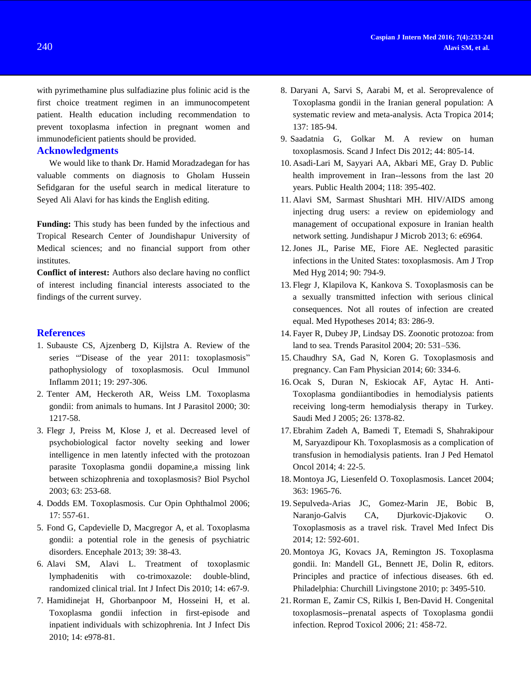with pyrimethamine plus sulfadiazine plus folinic acid is the first choice treatment regimen in an immunocompetent patient. Health education including recommendation to prevent toxoplasma infection in pregnant women and immunodeficient patients should be provided.

## **Acknowledgments**

We would like to thank Dr. Hamid Moradzadegan for has valuable comments on diagnosis to Gholam Hussein Sefidgaran for the useful search in medical literature to Seyed Ali Alavi for has kinds the English editing.

**Funding:** This study has been funded by the infectious and Tropical Research Center of Joundishapur University of Medical sciences; and no financial support from other institutes.

**Conflict of interest:** Authors also declare having no conflict of interest including financial interests associated to the findings of the current survey.

## **References**

- 1. Subauste CS, Ajzenberg D, Kijlstra A. Review of the series "Disease of the year 2011: toxoplasmosis" pathophysiology of toxoplasmosis. Ocul Immunol Inflamm 2011; 19: 297-306.
- 2. Tenter AM, Heckeroth AR, Weiss LM. Toxoplasma gondii: from animals to humans. Int J Parasitol 2000; 30: 1217-58.
- 3. Flegr J, Preiss M, Klose J, et al. Decreased level of psychobiological factor novelty seeking and lower intelligence in men latently infected with the protozoan parasite Toxoplasma gondii dopamine,a missing link between schizophrenia and toxoplasmosis? Biol Psychol 2003; 63: 253-68.
- 4. Dodds EM. Toxoplasmosis. Cur Opin Ophthalmol 2006; 17: 557-61.
- 5. Fond G, Capdevielle D, Macgregor A, et al. Toxoplasma gondii: a potential role in the genesis of psychiatric disorders. Encephale 2013; 39: 38-43.
- 6. [Alavi SM,](http://www.ncbi.nlm.nih.gov/pubmed?term=Alavi%20SM%5BAuthor%5D&cauthor=true&cauthor_uid=20194044) [Alavi L.](http://www.ncbi.nlm.nih.gov/pubmed?term=Alavi%20L%5BAuthor%5D&cauthor=true&cauthor_uid=20194044) Treatment of toxoplasmic lymphadenitis with co-trimoxazole: double-blind, randomized clinical trial. [Int J Infect Dis](http://www.ncbi.nlm.nih.gov/pubmed/20194044) 2010; 14: e67-9.
- 7. Hamidinejat H, Ghorbanpoor M, Hosseini H, et al. Toxoplasma gondii infection in first-episode and inpatient individuals with schizophrenia. [Int J Infect Dis](http://www.ncbi.nlm.nih.gov/pubmed/?term=Hamidinejat+H%2C+Ghorbanpoor+M%2C+Hosseini+H%2C+Alavi+SM%2C+Nabavi+L%2C+Jalali+MH%2C+Borojeni+MP%2C+Jafari+H%2C+Mohammadaligol+S.+Toxoplasma+gondii+infection+in+first-episode+and+inpatient+individuals+with+schizophrenia.+Int+J+Infect+Dis.+2010+Nov%3B14%2811%29%3Ae978-81.) 2010; 14: e978-81.
- 8. Daryani A, Sarvi S, Aarabi M, et al. Seroprevalence of Toxoplasma gondii in the Iranian general population: A systematic review and meta-analysis. Acta Tropica 2014; 137: 185-94.
- 9. [Saadatnia G,](http://www.ncbi.nlm.nih.gov/pubmed?term=Saadatnia%20G%5BAuthor%5D&cauthor=true&cauthor_uid=22831461) [Golkar M.](http://www.ncbi.nlm.nih.gov/pubmed?term=Golkar%20M%5BAuthor%5D&cauthor=true&cauthor_uid=22831461) A review on human toxoplasmosis. [Scand J Infect Dis](http://www.ncbi.nlm.nih.gov/pubmed/22831461) 2012; 44: 805-14.
- 10. Asadi-Lari M, Sayyari AA, Akbari ME, Gray D. Public health improvement in Iran--lessons from the last 20 years. Public Health 2004; 118: 395-402.
- 11. Alavi SM, Sarmast Shushtari MH. HIV/AIDS among injecting drug users: a review on epidemiology and management of occupational exposure in Iranian health network setting. Jundishapur J Microb 2013; 6: e6964.
- 12.Jones JL, Parise ME, Fiore AE. Neglected parasitic infections in the United States: toxoplasmosis. Am J Trop Med Hyg 2014; 90: 794-9.
- 13. [Flegr J,](http://www.ncbi.nlm.nih.gov/pubmed?term=Flegr%20J%5BAuthor%5D&cauthor=true&cauthor_uid=24986706) [Klapilova K,](http://www.ncbi.nlm.nih.gov/pubmed?term=Klapilov%C3%A1%20K%5BAuthor%5D&cauthor=true&cauthor_uid=24986706) [Kankova S.](http://www.ncbi.nlm.nih.gov/pubmed?term=Ka%C5%88kov%C3%A1%20S%5BAuthor%5D&cauthor=true&cauthor_uid=24986706) Toxoplasmosis can be a sexually transmitted infection with serious clinical consequences. Not all routes of infection are created equal. [Med Hypotheses](http://www.ncbi.nlm.nih.gov/pubmed/24986706) 2014; 83: 286-9.
- 14. Fayer R, Dubey JP, Lindsay DS. Zoonotic protozoa: from land to sea. Trends Parasitol 2004; 20: 531–536.
- 15. [Chaudhry SA,](http://www.ncbi.nlm.nih.gov/pubmed?term=Chaudhry%20SA%5BAuthor%5D&cauthor=true&cauthor_uid=24733322) [Gad N,](http://www.ncbi.nlm.nih.gov/pubmed?term=Gad%20N%5BAuthor%5D&cauthor=true&cauthor_uid=24733322) [Koren G.](http://www.ncbi.nlm.nih.gov/pubmed?term=Koren%20G%5BAuthor%5D&cauthor=true&cauthor_uid=24733322) Toxoplasmosis and pregnancy. [Can Fam Physician](http://www.ncbi.nlm.nih.gov/pubmed/24733322) 2014; 60: 334-6.
- 16. Ocak S, Duran N, Eskiocak AF, Aytac H. Anti-Toxoplasma gondiiantibodies in hemodialysis patients receiving long-term hemodialysis therapy in Turkey. Saudi Med J 2005; 26: 1378-82.
- 17. [Ebrahim Zadeh A,](http://www.ncbi.nlm.nih.gov/pubmed?term=Ebrahim%20Zadeh%20A%5BAuthor%5D&cauthor=true&cauthor_uid=24734160) [Bamedi T,](http://www.ncbi.nlm.nih.gov/pubmed?term=Bamedi%20T%5BAuthor%5D&cauthor=true&cauthor_uid=24734160) [Etemadi S,](http://www.ncbi.nlm.nih.gov/pubmed?term=Etemadi%20S%5BAuthor%5D&cauthor=true&cauthor_uid=24734160) [Shahrakipour](http://www.ncbi.nlm.nih.gov/pubmed?term=Shahrakipour%20M%5BAuthor%5D&cauthor=true&cauthor_uid=24734160)  [M,](http://www.ncbi.nlm.nih.gov/pubmed?term=Shahrakipour%20M%5BAuthor%5D&cauthor=true&cauthor_uid=24734160) [Saryazdipour Kh.](http://www.ncbi.nlm.nih.gov/pubmed?term=Saryazdipour%20Kh%5BAuthor%5D&cauthor=true&cauthor_uid=24734160) Toxoplasmosis as a complication of transfusion in hemodialysis patients. [Iran J Ped Hematol](http://www.ncbi.nlm.nih.gov/pubmed/24734160)  [Oncol](http://www.ncbi.nlm.nih.gov/pubmed/24734160) 2014; 4: 22-5.
- 18. [Montoya JG,](http://www.ncbi.nlm.nih.gov/pubmed?term=Montoya%20JG%5BAuthor%5D&cauthor=true&cauthor_uid=15194258) [Liesenfeld O.](http://www.ncbi.nlm.nih.gov/pubmed?term=Liesenfeld%20O%5BAuthor%5D&cauthor=true&cauthor_uid=15194258) Toxoplasmosis. [Lancet](http://www.ncbi.nlm.nih.gov/pubmed/15194258) 2004; 363: 1965-76.
- 19. [Sepulveda-Arias JC,](http://www.ncbi.nlm.nih.gov/pubmed?term=Sep%C3%BAlveda-Arias%20JC%5BAuthor%5D&cauthor=true&cauthor_uid=24951321) [Gomez-Marin JE,](http://www.ncbi.nlm.nih.gov/pubmed?term=G%C3%B3mez-Marin%20JE%5BAuthor%5D&cauthor=true&cauthor_uid=24951321) [Bobic B,](http://www.ncbi.nlm.nih.gov/pubmed?term=Bobi%C4%87%20B%5BAuthor%5D&cauthor=true&cauthor_uid=24951321) [Naranjo-Galvis CA,](http://www.ncbi.nlm.nih.gov/pubmed?term=Naranjo-Galvis%20CA%5BAuthor%5D&cauthor=true&cauthor_uid=24951321) [Djurkovic-Djakovic O.](http://www.ncbi.nlm.nih.gov/pubmed?term=Djurkovi%C4%87-Djakovi%C4%87%20O%5BAuthor%5D&cauthor=true&cauthor_uid=24951321) Toxoplasmosis as a travel risk. [Travel Med Infect Dis](http://www.ncbi.nlm.nih.gov/pubmed/24951321) 2014; 12: 592-601.
- 20. Montoya JG, Kovacs JA, Remington JS. Toxoplasma gondii. In: Mandell GL, Bennett JE, Dolin R, editors. Principles and practice of infectious diseases. 6th ed. Philadelphia: Churchill Livingstone 2010; p: 3495-510.
- 21. [Rorman E,](http://www.ncbi.nlm.nih.gov/pubmed?term=Rorman%20E%5BAuthor%5D&cauthor=true&cauthor_uid=16311017) [Zamir CS,](http://www.ncbi.nlm.nih.gov/pubmed?term=Zamir%20CS%5BAuthor%5D&cauthor=true&cauthor_uid=16311017) [Rilkis I,](http://www.ncbi.nlm.nih.gov/pubmed?term=Rilkis%20I%5BAuthor%5D&cauthor=true&cauthor_uid=16311017) [Ben-David H.](http://www.ncbi.nlm.nih.gov/pubmed?term=Ben-David%20H%5BAuthor%5D&cauthor=true&cauthor_uid=16311017) Congenital toxoplasmosis--prenatal aspects of Toxoplasma gondii infection. [Reprod Toxicol](http://www.ncbi.nlm.nih.gov/pubmed/16311017) 2006; 21: 458-72.